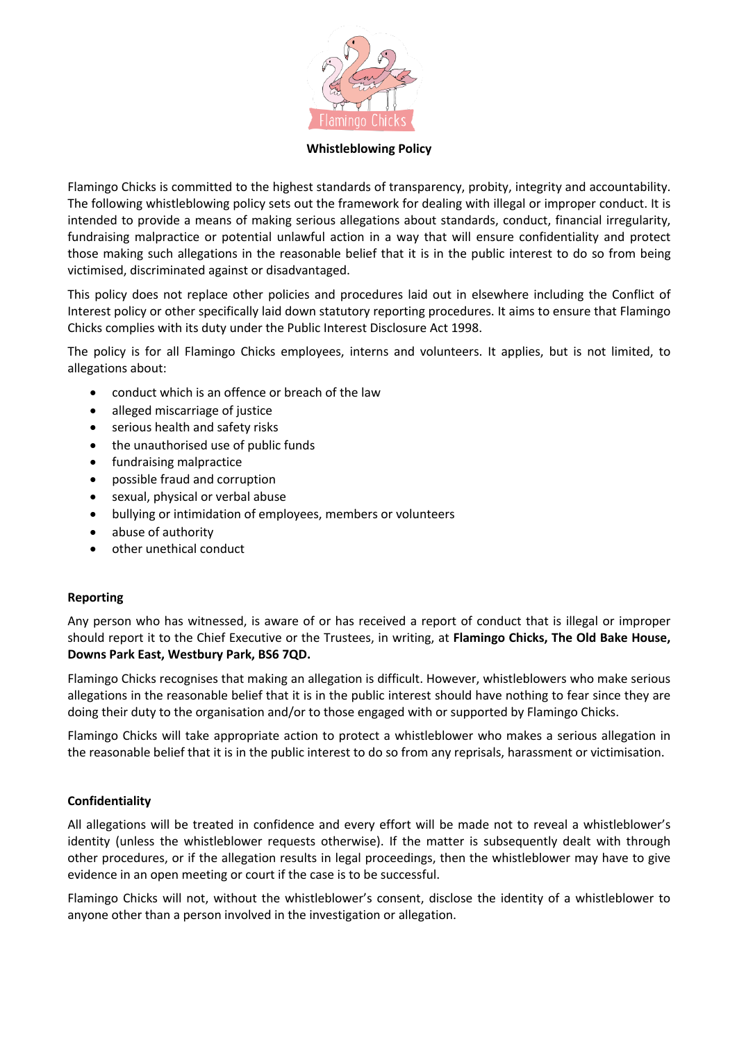

#### **Whistleblowing Policy**

Flamingo Chicks is committed to the highest standards of transparency, probity, integrity and accountability. The following whistleblowing policy sets out the framework for dealing with illegal or improper conduct. It is intended to provide a means of making serious allegations about standards, conduct, financial irregularity, fundraising malpractice or potential unlawful action in a way that will ensure confidentiality and protect those making such allegations in the reasonable belief that it is in the public interest to do so from being victimised, discriminated against or disadvantaged.

This policy does not replace other policies and procedures laid out in elsewhere including the Conflict of Interest policy or other specifically laid down statutory reporting procedures. It aims to ensure that Flamingo Chicks complies with its duty under the Public Interest Disclosure Act 1998.

The policy is for all Flamingo Chicks employees, interns and volunteers. It applies, but is not limited, to allegations about:

- conduct which is an offence or breach of the law
- alleged miscarriage of justice
- serious health and safety risks
- the unauthorised use of public funds
- fundraising malpractice
- possible fraud and corruption
- sexual, physical or verbal abuse
- bullying or intimidation of employees, members or volunteers
- abuse of authority
- other unethical conduct

### **Reporting**

Any person who has witnessed, is aware of or has received a report of conduct that is illegal or improper should report it to the Chief Executive or the Trustees, in writing, at **Flamingo Chicks, The Old Bake House, Downs Park East, Westbury Park, BS6 7QD.**

Flamingo Chicks recognises that making an allegation is difficult. However, whistleblowers who make serious allegations in the reasonable belief that it is in the public interest should have nothing to fear since they are doing their duty to the organisation and/or to those engaged with or supported by Flamingo Chicks.

Flamingo Chicks will take appropriate action to protect a whistleblower who makes a serious allegation in the reasonable belief that it is in the public interest to do so from any reprisals, harassment or victimisation.

### **Confidentiality**

All allegations will be treated in confidence and every effort will be made not to reveal a whistleblower's identity (unless the whistleblower requests otherwise). If the matter is subsequently dealt with through other procedures, or if the allegation results in legal proceedings, then the whistleblower may have to give evidence in an open meeting or court if the case is to be successful.

Flamingo Chicks will not, without the whistleblower's consent, disclose the identity of a whistleblower to anyone other than a person involved in the investigation or allegation.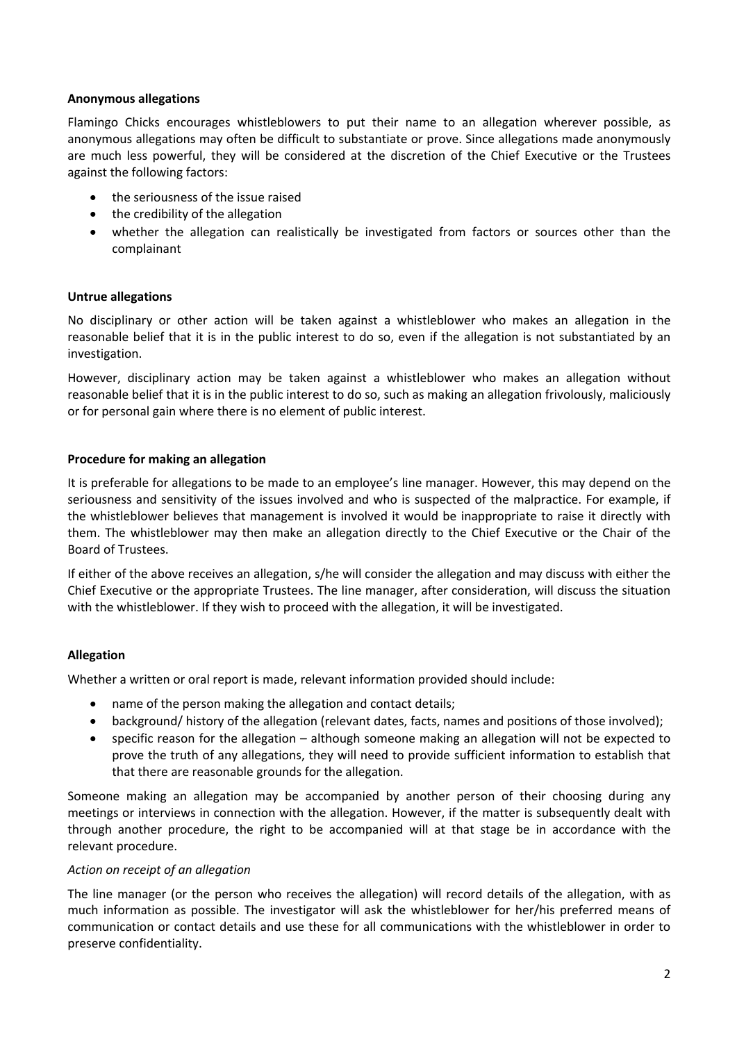# **Anonymous allegations**

Flamingo Chicks encourages whistleblowers to put their name to an allegation wherever possible, as anonymous allegations may often be difficult to substantiate or prove. Since allegations made anonymously are much less powerful, they will be considered at the discretion of the Chief Executive or the Trustees against the following factors:

- the seriousness of the issue raised
- the credibility of the allegation
- whether the allegation can realistically be investigated from factors or sources other than the complainant

# **Untrue allegations**

No disciplinary or other action will be taken against a whistleblower who makes an allegation in the reasonable belief that it is in the public interest to do so, even if the allegation is not substantiated by an investigation.

However, disciplinary action may be taken against a whistleblower who makes an allegation without reasonable belief that it is in the public interest to do so, such as making an allegation frivolously, maliciously or for personal gain where there is no element of public interest.

# **Procedure for making an allegation**

It is preferable for allegations to be made to an employee's line manager. However, this may depend on the seriousness and sensitivity of the issues involved and who is suspected of the malpractice. For example, if the whistleblower believes that management is involved it would be inappropriate to raise it directly with them. The whistleblower may then make an allegation directly to the Chief Executive or the Chair of the Board of Trustees.

If either of the above receives an allegation, s/he will consider the allegation and may discuss with either the Chief Executive or the appropriate Trustees. The line manager, after consideration, will discuss the situation with the whistleblower. If they wish to proceed with the allegation, it will be investigated.

### **Allegation**

Whether a written or oral report is made, relevant information provided should include:

- name of the person making the allegation and contact details;
- background/ history of the allegation (relevant dates, facts, names and positions of those involved);
- specific reason for the allegation although someone making an allegation will not be expected to prove the truth of any allegations, they will need to provide sufficient information to establish that that there are reasonable grounds for the allegation.

Someone making an allegation may be accompanied by another person of their choosing during any meetings or interviews in connection with the allegation. However, if the matter is subsequently dealt with through another procedure, the right to be accompanied will at that stage be in accordance with the relevant procedure.

### *Action on receipt of an allegation*

The line manager (or the person who receives the allegation) will record details of the allegation, with as much information as possible. The investigator will ask the whistleblower for her/his preferred means of communication or contact details and use these for all communications with the whistleblower in order to preserve confidentiality.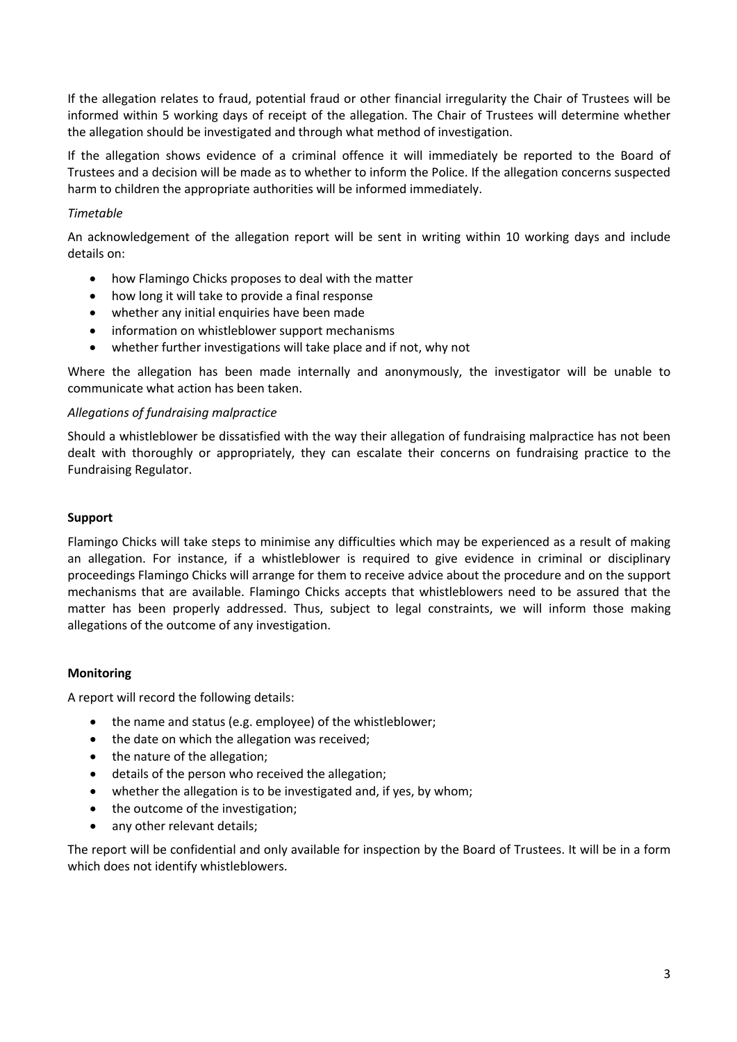If the allegation relates to fraud, potential fraud or other financial irregularity the Chair of Trustees will be informed within 5 working days of receipt of the allegation. The Chair of Trustees will determine whether the allegation should be investigated and through what method of investigation.

If the allegation shows evidence of a criminal offence it will immediately be reported to the Board of Trustees and a decision will be made as to whether to inform the Police. If the allegation concerns suspected harm to children the appropriate authorities will be informed immediately.

# *Timetable*

An acknowledgement of the allegation report will be sent in writing within 10 working days and include details on:

- how Flamingo Chicks proposes to deal with the matter
- how long it will take to provide a final response
- whether any initial enquiries have been made
- information on whistleblower support mechanisms
- whether further investigations will take place and if not, why not

Where the allegation has been made internally and anonymously, the investigator will be unable to communicate what action has been taken.

### *Allegations of fundraising malpractice*

Should a whistleblower be dissatisfied with the way their allegation of fundraising malpractice has not been dealt with thoroughly or appropriately, they can escalate their concerns on fundraising practice to the Fundraising Regulator.

#### **Support**

Flamingo Chicks will take steps to minimise any difficulties which may be experienced as a result of making an allegation. For instance, if a whistleblower is required to give evidence in criminal or disciplinary proceedings Flamingo Chicks will arrange for them to receive advice about the procedure and on the support mechanisms that are available. Flamingo Chicks accepts that whistleblowers need to be assured that the matter has been properly addressed. Thus, subject to legal constraints, we will inform those making allegations of the outcome of any investigation.

### **Monitoring**

A report will record the following details:

- the name and status (e.g. employee) of the whistleblower;
- the date on which the allegation was received:
- the nature of the allegation;
- details of the person who received the allegation;
- whether the allegation is to be investigated and, if yes, by whom;
- the outcome of the investigation:
- any other relevant details;

The report will be confidential and only available for inspection by the Board of Trustees. It will be in a form which does not identify whistleblowers.